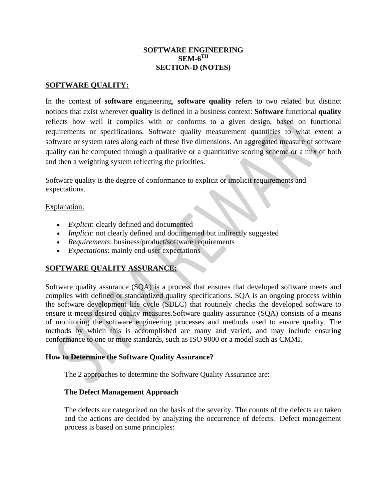### **SOFTWARE ENGINEERING SEM-6TH SECTION-D (NOTES)**

### **SOFTWARE QUALITY:**

In the context of **software** engineering, **software quality** refers to two related but distinct notions that exist wherever **quality** is defined in a business context: **Software** functional **quality** reflects how well it complies with or conforms to a given design, based on functional requirements or specifications. Software quality measurement quantifies to what extent a software or system rates along each of these five dimensions. An aggregated measure of software quality can be computed through a qualitative or a quantitative scoring scheme or a mix of both and then a weighting system reflecting the priorities.

Software quality is the degree of conformance to explicit or implicit requirements and expectations.

### Explanation:

- *Explicit*: clearly defined and documented
- *Implicit*: not clearly defined and documented but indirectly suggested
- *Requirements*: business/product/software requirements
- *Expectations*: mainly end-user expectations

# **SOFTWARE QUALITY ASSURANCE:**

Software quality assurance (SQA) is a process that ensures that developed software meets and complies with defined or standardized quality specifications. SQA is an ongoing process within the software development life cycle (SDLC) that routinely checks the developed software to ensure it meets desired quality measures.Software quality assurance (SQA) consists of a means of monitoring the [software engineering](https://en.wikipedia.org/wiki/Software_engineering) processes and methods used to ensure quality. The methods by which this is accomplished are many and varied, and may include ensuring conformance to one or more standards, such as [ISO 9000](https://en.wikipedia.org/wiki/ISO_9000) or a model such as [CMMI.](https://en.wikipedia.org/wiki/CMMI)

### **How to Determine the Software Quality Assurance?**

The 2 approaches to determine the Software Quality Assurance are:

### **The Defect Management Approach**

The defects are categorized on the basis of the severity. The counts of the defects are taken and the actions are decided by analyzing the occurrence of defects. Defect management process is based on some principles: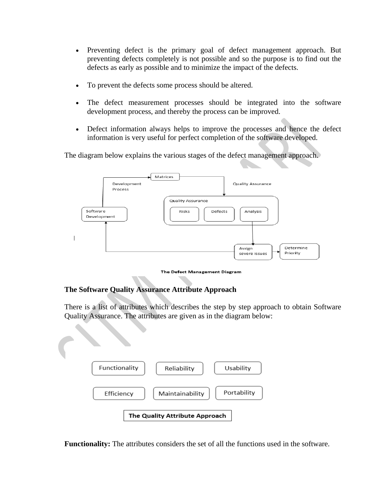- Preventing defect is the primary goal of defect management approach. But preventing defects completely is not possible and so the purpose is to find out the defects as early as possible and to minimize the impact of the defects.
- To prevent the defects some process should be altered.
- The defect measurement processes should be integrated into the software development process, and thereby the process can be improved.
- Defect information always helps to improve the processes and hence the defect information is very useful for perfect completion of the software developed.

The diagram below explains the various stages of the defect management approach.



The Defect Management Diagram

# **The Software Quality Assurance Attribute Approach**

There is a list of attributes which describes the step by step approach to obtain Software Quality Assurance. The attributes are given as in the diagram below:



**Functionality:** The attributes considers the set of all the functions used in the software.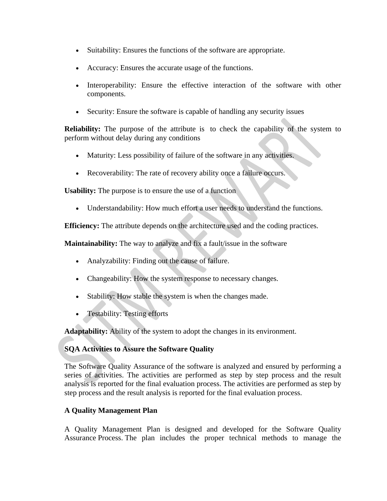- Suitability: Ensures the functions of the software are appropriate.
- Accuracy: Ensures the accurate usage of the functions.
- Interoperability: Ensure the effective interaction of the software with other components.
- Security: Ensure the software is capable of handling any security issues

**Reliability:** The purpose of the attribute is to check the capability of the system to perform without delay during any conditions

- Maturity: Less possibility of failure of the software in any activities.
- Recoverability: The rate of recovery ability once a failure occurs.

**Usability:** The purpose is to ensure the use of a function

• Understandability: How much effort a user needs to understand the functions.

**Efficiency:** The attribute depends on the architecture used and the coding practices.

**Maintainability:** The way to analyze and fix a fault/issue in the software

- Analyzability: Finding out the cause of failure.
- Changeability: How the system response to necessary changes.
- Stability: How stable the system is when the changes made.
- Testability: Testing efforts

**Adaptability:** Ability of the system to adopt the changes in its environment.

# **SQA Activities to Assure the Software Quality**

The Software Quality Assurance of the software is analyzed and ensured by performing a series of activities. The activities are performed as step by step process and the result analysis is reported for the final evaluation process. The activities are performed as step by step process and the result analysis is reported for the final evaluation process.

# **A Quality Management Plan**

A Quality Management Plan is designed and developed for the Software Quality Assurance Process. The plan includes the proper technical methods to manage the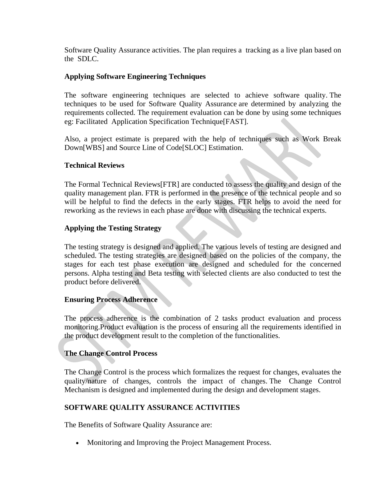Software Quality Assurance activities. The plan requires a tracking as a live plan based on the SDLC.

### **Applying Software Engineering Techniques**

The software engineering techniques are selected to achieve software quality. The techniques to be used for Software Quality Assurance are determined by analyzing the requirements collected. The requirement evaluation can be done by using some techniques eg: Facilitated Application Specification Technique[FAST].

Also, a project estimate is prepared with the help of techniques such as Work Break Down[WBS] and Source Line of Code[SLOC] Estimation.

### **Technical Reviews**

The Formal Technical Reviews[FTR] are conducted to assess the quality and design of the quality management plan. FTR is performed in the presence of the technical people and so will be helpful to find the defects in the early stages. FTR helps to avoid the need for reworking as the reviews in each phase are done with discussing the technical experts.

### **Applying the Testing Strategy**

The testing strategy is designed and applied. The various levels of testing are designed and scheduled. The testing strategies are designed based on the policies of the company, the stages for each test phase execution are designed and scheduled for the concerned persons. Alpha testing and Beta testing with selected clients are also conducted to test the product before delivered.

#### **Ensuring Process Adherence**

The process adherence is the combination of 2 tasks product evaluation and process monitoring.Product evaluation is the process of ensuring all the requirements identified in the product development result to the completion of the functionalities.

### **The Change Control Process**

The Change Control is the process which formalizes the request for changes, evaluates the quality/nature of changes, controls the impact of changes. The Change Control Mechanism is designed and implemented during the design and development stages.

### **SOFTWARE QUALITY ASSURANCE ACTIVITIES**

The Benefits of Software Quality Assurance are:

• Monitoring and Improving the Project Management Process.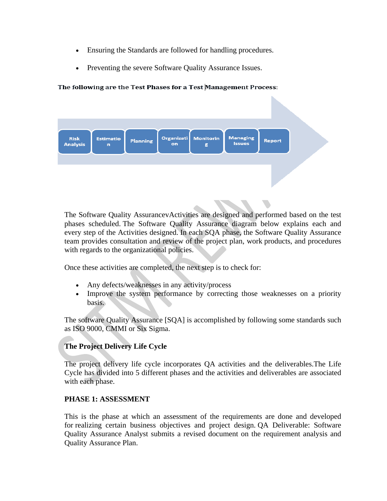- Ensuring the Standards are followed for handling procedures.
- Preventing the severe Software Quality Assurance Issues.

#### The following are the Test Phases for a Test Management Process:

| Risk<br>Analysis | <b>Estimatio</b><br>$\mathbf{r}$ | <b>Planning</b> | on | Organizati Monitorin<br>ε | <b>Managing</b><br><b>Issues</b> | <b>Report</b> |  |
|------------------|----------------------------------|-----------------|----|---------------------------|----------------------------------|---------------|--|
|                  |                                  |                 |    |                           |                                  |               |  |

N

The Software Quality AssurancevActivities are designed and performed based on the test phases scheduled. The Software Quality Assurance diagram below explains each and every step of the Activities designed. In each SQA phase, the Software Quality Assurance team provides consultation and review of the project plan, work products, and procedures with regards to the organizational policies.

Once these activities are completed, the next step is to check for:

- Any defects/weaknesses in any activity/process
- Improve the system performance by correcting those weaknesses on a priority basis.

The software Quality Assurance [SQA] is accomplished by following some standards such as ISO 9000, CMMI or Six Sigma.

# **The Project Delivery Life Cycle**

The project delivery life cycle incorporates QA activities and the deliverables.The Life Cycle has divided into 5 different phases and the activities and deliverables are associated with each phase.

# **PHASE 1: ASSESSMENT**

This is the phase at which an assessment of the requirements are done and developed for realizing certain business objectives and project design. QA Deliverable: Software Quality Assurance Analyst submits a revised document on the requirement analysis and Quality Assurance Plan.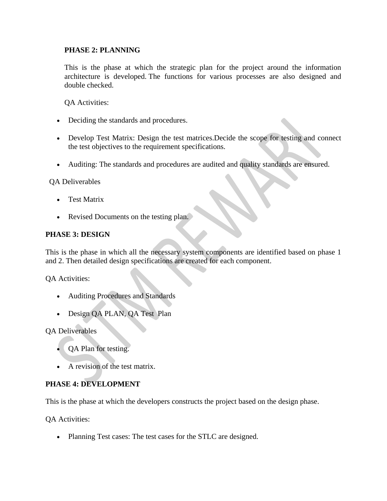# **PHASE 2: PLANNING**

This is the phase at which the strategic plan for the project around the information architecture is developed. The functions for various processes are also designed and double checked.

QA Activities:

- Deciding the standards and procedures.
- Develop Test Matrix: Design the test matrices. Decide the scope for testing and connect the test objectives to the requirement specifications.
- Auditing: The standards and procedures are audited and quality standards are ensured.

QA Deliverables

- Test Matrix
- Revised Documents on the testing plan.

### **PHASE 3: DESIGN**

This is the phase in which all the necessary system components are identified based on phase 1 and 2. Then detailed design specifications are created for each component.

QA Activities:

- Auditing Procedures and Standards
- Design QA PLAN, QA Test Plan

QA Deliverables

- QA Plan for testing.
- A revision of the test matrix.

# **PHASE 4: DEVELOPMENT**

This is the phase at which the developers constructs the project based on the design phase.

QA Activities:

• Planning Test cases: The test cases for the STLC are designed.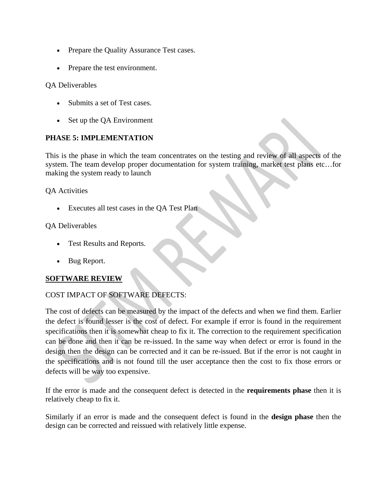- Prepare the Quality Assurance Test cases.
- Prepare the test environment.

# QA Deliverables

- Submits a set of Test cases.
- Set up the QA Environment

# **PHASE 5: IMPLEMENTATION**

This is the phase in which the team concentrates on the testing and review of all aspects of the system. The team develop proper documentation for system training, market test plans etc…for making the system ready to launch

QA Activities

• Executes all test cases in the QA Test Plan

# QA Deliverables

- Test Results and Reports.
- Bug Report.

# **SOFTWARE REVIEW**

# COST IMPACT OF SOFTWARE DEFECTS:

The cost of [defects c](http://istqbexamcertification.com/what-is-defect-or-bugs-or-faults-in-software-testing/)an be measured by the impact of the defects and [when we find them.](http://istqbexamcertification.com/from-where-do-defects-and-failures-in-software-testing-arise/) Earlier the defect is found lesser is the cost of defect. For example if error is found in the requirement specifications then it is somewhat cheap to fix it. The correction to the requirement specification can be done and then it can be re-issued. In the same way when defect or error is found in the design then the design can be corrected and it can be re-issued. But if the error is not caught in the specifications and is not found till the [user acceptance](http://istqbexamcertification.com/what-is-acceptance-testing/) then the cost to fix those errors or defects will be way too expensive.

If the error is made and the consequent defect is detected in the **[requirements phase](http://istqbexamcertification.com/what-are-the-software-development-life-cycle-phases/)** then it is relatively cheap to fix it.

Similarly if an error is made and the consequent [defect](http://istqbexamcertification.com/what-is-defect-or-bugs-or-faults-in-software-testing/) is found in the **design phase** then the design can be corrected and reissued with relatively little expense.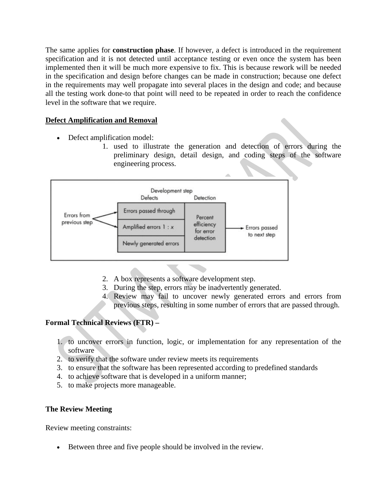The same applies for **construction phase**. If however, a defect is introduced in the requirement specification and it is not detected until [acceptance testing](http://istqbexamcertification.com/what-is-acceptance-testing/) or even once the system has been implemented then it will be much more expensive to fix. This is because rework will be needed in the specification and design before changes can be made in construction; because one defect in the requirements may well propagate into several places in the design and code; and because all the testing work done-to that point will need to be repeated in order to reach the confidence level in the software that we require.

# **Defect Amplification and Removal**

- Defect amplification model:
	- 1. used to illustrate the generation and detection of errors during the preliminary design, detail design, and coding steps of the software engineering process.



- 2. A box represents a software development step.
- 3. During the step, errors may be inadvertently generated.
- 4. Review may fail to uncover newly generated errors and errors from previous steps, resulting in some number of errors that are passed through.

# **Formal Technical Reviews (FTR) –**

- 1. to uncover errors in function, logic, or implementation for any representation of the software
- 2. to verify that the software under review meets its requirements
- 3. to ensure that the software has been represented according to predefined standards
- 4. to achieve software that is developed in a uniform manner;
- 5. to make projects more manageable.

# **The Review Meeting**

Review meeting constraints:

• Between three and five people should be involved in the review.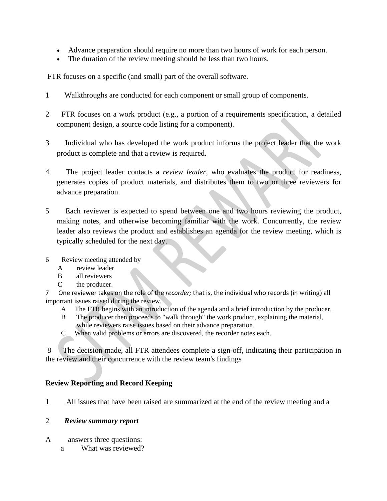- Advance preparation should require no more than two hours of work for each person.
- The duration of the review meeting should be less than two hours.

FTR focuses on a specific (and small) part of the overall software.

- 1 Walkthroughs are conducted for each component or small group of components.
- 2 FTR focuses on a work product (e.g., a portion of a requirements specification, a detailed component design, a source code listing for a component).
- 3 Individual who has developed the work product informs the project leader that the work product is complete and that a review is required.
- 4 The project leader contacts a *review leader,* who evaluates the product for readiness, generates copies of product materials, and distributes them to two or three reviewers for advance preparation.
- 5 Each reviewer is expected to spend between one and two hours reviewing the product, making notes, and otherwise becoming familiar with the work. Concurrently, the review leader also reviews the product and establishes an agenda for the review meeting, which is typically scheduled for the next day.
- 6 Review meeting attended by
	- A review leader
	- B all reviewers
	- C the producer.
- 7 One reviewer takes on the role of the *recorder;* that is, the individual who records (in writing) all important issues raised during the review.
	- A The FTR begins with an introduction of the agenda and a brief introduction by the producer.
	- B The producer then proceeds to "walk through" the work product, explaining the material, while reviewers raise issues based on their advance preparation.
	- C When valid problems or errors are discovered, the recorder notes each.

8 The decision made, all FTR attendees complete a sign-off, indicating their participation in the review and their concurrence with the review team's findings

# **Review Reporting and Record Keeping**

1 All issues that have been raised are summarized at the end of the review meeting and a

### 2 *Review summary report*

- A answers three questions:
	- a What was reviewed?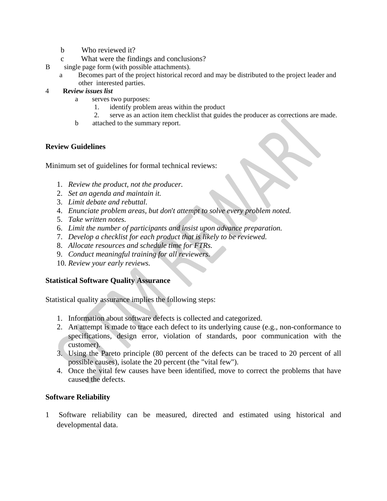- b Who reviewed it?
- c What were the findings and conclusions?
- B single page form (with possible attachments).
	- a Becomes part of the project historical record and may be distributed to the project leader and other interested parties.
- 4 **R***eview issues list*
	- a serves two purposes:
		- 1. identify problem areas within the product
		- 2. serve as an action item checklist that guides the producer as corrections are made.
	- b attached to the summary report.

# **Review Guidelines**

Minimum set of guidelines for formal technical reviews:

- 1. *Review the product, not the producer.*
- 2. *Set an agenda and maintain it.*
- 3. *Limit debate and rebuttal.*
- 4. *Enunciate problem areas, but don*'*t attempt to solve every problem noted.*
- 5. *Take written notes.*
- 6. *Limit the number of participants and insist upon advance preparation.*
- 7. *Develop a checklist for each product that is likely to be reviewed.*
- 8. *Allocate resources and schedule time for FTRs.*
- 9. *Conduct meaningful training for all reviewers.*
- 10. *Review your early reviews.*

# **Statistical Software Quality Assurance**

Statistical quality assurance implies the following steps:

- 1. Information about software defects is collected and categorized.
- 2. An attempt is made to trace each defect to its underlying cause (e.g., non-conformance to specifications, design error, violation of standards, poor communication with the customer).
- 3. Using the Pareto principle (80 percent of the defects can be traced to 20 percent of all possible causes), isolate the 20 percent (the "vital few").
- 4. Once the vital few causes have been identified, move to correct the problems that have caused the defects.

# **Software Reliability**

1 Software reliability can be measured, directed and estimated using historical and developmental data.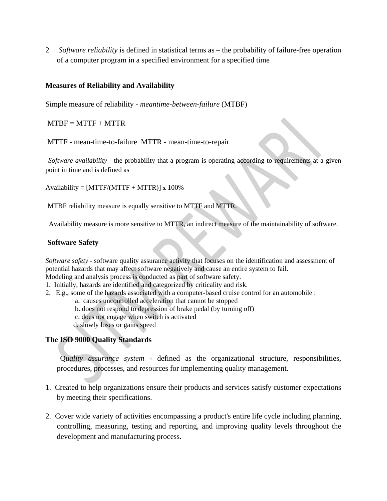2 *Software reliability* is defined in statistical terms as – the probability of failure-free operation of a computer program in a specified environment for a specified time

### **Measures of Reliability and Availability**

Simple measure of reliability - *meantime-between-failure* (MTBF)

 $MTBF = MTTF + MTTR$ 

MTTF - mean-time-to-failure MTTR - mean-time-to-repair

*Software availability* - the probability that a program is operating according to requirements at a given point in time and is defined as

Availability = [MTTF/(MTTF + MTTR)] **x** 100%

MTBF reliability measure is equally sensitive to MTTF and MTTR.

Availability measure is more sensitive to MTTR, an indirect measure of the maintainability of software.

#### **Software Safety**

*Software safety* - software quality assurance activity that focuses on the identification and assessment of potential hazards that may affect software negatively and cause an entire system to fail. Modeling and analysis process is conducted as part of software safety.

- 1. Initially, hazards are identified and categorized by criticality and risk.
- 2. E.g., some of the hazards associated with a computer-based cruise control for an automobile :
	- a. causes uncontrolled acceleration that cannot be stopped
	- b. does not respond to depression of brake pedal (by turning off)
	- c. does not engage when switch is activated

d. slowly loses or gains speed

### **The ISO 9000 Quality Standards**

 Q*uality assurance system -* defined as the organizational structure, responsibilities, procedures, processes, and resources for implementing quality management.

- 1. Created to help organizations ensure their products and services satisfy customer expectations by meeting their specifications.
- 2. Cover wide variety of activities encompassing a product's entire life cycle including planning, controlling, measuring, testing and reporting, and improving quality levels throughout the development and manufacturing process.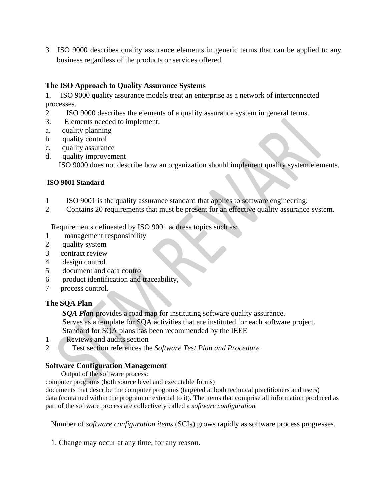3. ISO 9000 describes quality assurance elements in generic terms that can be applied to any business regardless of the products or services offered.

# **The ISO Approach to Quality Assurance Systems**

1. ISO 9000 quality assurance models treat an enterprise as a network of interconnected processes.

- 2. ISO 9000 describes the elements of a quality assurance system in general terms.
- 3. Elements needed to implement:
- a. quality planning
- b. quality control
- c. quality assurance
- d. quality improvement

ISO 9000 does not describe how an organization should implement quality system elements.

# **ISO 9001 Standard**

- 1 ISO 9001 is the quality assurance standard that applies to software engineering.
- 2 Contains 20 requirements that must be present for an effective quality assurance system.

Requirements delineated by ISO 9001 address topics such as:

- 1 management responsibility
- 2 quality system
- 3 contract review
- 4 design control
- 5 document and data control
- 6 product identification and traceability,
- 7 process control.

# **The SQA Plan**

 *SQA Plan* provides a road map for instituting software quality assurance. Serves as a template for SQA activities that are instituted for each software project. Standard for SQA plans has been recommended by the IEEE

- 1 Reviews and audits section
- 2 Test section references the *Software Test Plan and Procedure*

# **Software Configuration Management**

Output of the software process:

computer programs (both source level and executable forms)

documents that describe the computer programs (targeted at both technical practitioners and users) data (contained within the program or external to it). The items that comprise all information produced as part of the software process are collectively called a *software configuration.*

Number of *software configuration items* (SCIs) grows rapidly as software process progresses.

1. Change may occur at any time, for any reason.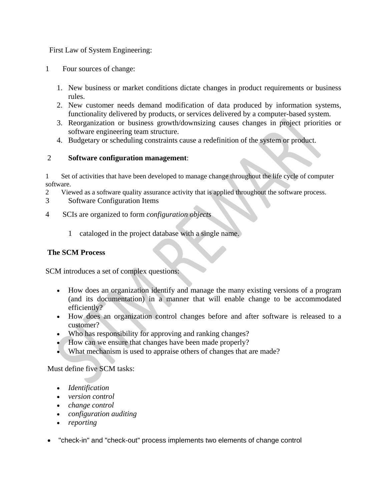First Law of System Engineering:

- 1 Four sources of change:
	- 1. New business or market conditions dictate changes in product requirements or business rules.
	- 2. New customer needs demand modification of data produced by information systems, functionality delivered by products, or services delivered by a computer-based system.
	- 3. Reorganization or business growth/downsizing causes changes in project priorities or software engineering team structure.
	- 4. Budgetary or scheduling constraints cause a redefinition of the system or product.

### 2 **Software configuration management**:

1 Set of activities that have been developed to manage change throughout the life cycle of computer software.

- 2 Viewed as a software quality assurance activity that is applied throughout the software process.
- 3 Software Configuration Items
- 4 SCIs are organized to form *configuration objects* 
	- 1 cataloged in the project database with a single name.

# **The SCM Process**

SCM introduces a set of complex questions:

- How does an organization identify and manage the many existing versions of a program (and its documentation) in a manner that will enable change to be accommodated efficiently?
- How does an organization control changes before and after software is released to a customer?
- Who has responsibility for approving and ranking changes?
- How can we ensure that changes have been made properly?
- What mechanism is used to appraise others of changes that are made?

Must define five SCM tasks:

- *Identification*
- *version control*
- *change control*
- *configuration auditing*
- *reporting*
- "check-in" and "check-out" process implements two elements of change control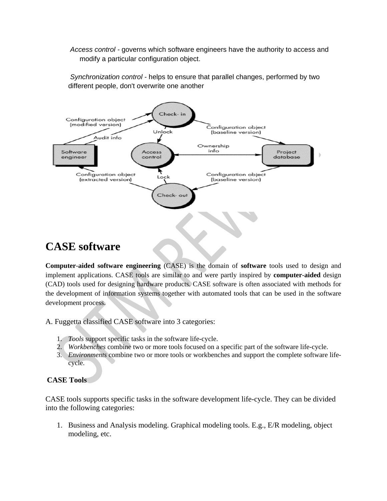*Access control -* governs which software engineers have the authority to access and modify a particular configuration object.

*Synchronization control -* helps to ensure that parallel changes, performed by two different people, don't overwrite one another



# **CASE software**

**Computer**-**aided software engineering** (CASE) is the domain of **software** tools used to design and implement applications. CASE tools are similar to and were partly inspired by **computer**-**aided** design (CAD) tools used for designing hardware products. CASE software is often associated with methods for the development of [information systems](https://en.wikipedia.org/wiki/Information_system) together with automated tools that can be used in the [software](https://en.wikipedia.org/wiki/Software_development_process)  [development process](https://en.wikipedia.org/wiki/Software_development_process).

A. Fuggetta classified CASE software into 3 categories:

- 1. *Tools* support specific tasks in the [software life-cycle.](https://en.wikipedia.org/wiki/Software_life-cycle)
- 2. *Workbenches* combine two or more tools focused on a specific part of the software life-cycle.
- 3. *Environments* combine two or more tools or workbenches and support the complete software lifecycle.

# **CASE Tools**

CASE tools supports specific tasks in the software development life-cycle. They can be divided into the following categories:

1. Business and Analysis modeling. Graphical modeling tools. E.g., E/R modeling, object modeling, etc.